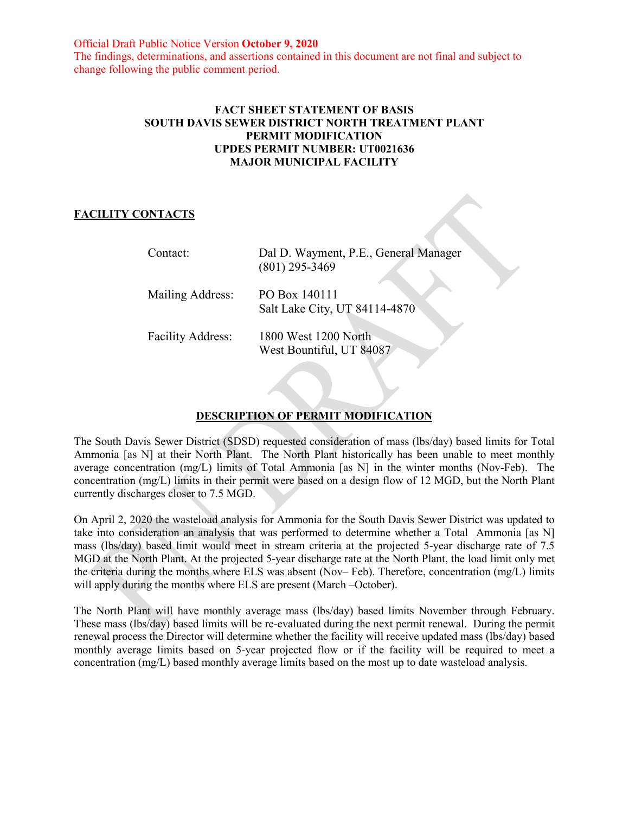Official Draft Public Notice Version **October 9, 2020** The findings, determinations, and assertions contained in this document are not final and subject to change following the public comment period.

#### **FACT SHEET STATEMENT OF BASIS SOUTH DAVIS SEWER DISTRICT NORTH TREATMENT PLANT PERMIT MODIFICATION UPDES PERMIT NUMBER: UT0021636 MAJOR MUNICIPAL FACILITY**

#### **FACILITY CONTACTS**

| Contact:                 | Dal D. Wayment, P.E., General Manager<br>$(801)$ 295-3469 |
|--------------------------|-----------------------------------------------------------|
| Mailing Address:         | PO Box 140111<br>Salt Lake City, UT 84114-4870            |
| <b>Facility Address:</b> | 1800 West 1200 North<br>West Bountiful, UT 84087          |

# **DESCRIPTION OF PERMIT MODIFICATION**

The South Davis Sewer District (SDSD) requested consideration of mass (lbs/day) based limits for Total Ammonia [as N] at their North Plant. The North Plant historically has been unable to meet monthly average concentration (mg/L) limits of Total Ammonia [as N] in the winter months (Nov-Feb). The concentration (mg/L) limits in their permit were based on a design flow of 12 MGD, but the North Plant currently discharges closer to 7.5 MGD.

On April 2, 2020 the wasteload analysis for Ammonia for the South Davis Sewer District was updated to take into consideration an analysis that was performed to determine whether a Total Ammonia [as N] mass (lbs/day) based limit would meet in stream criteria at the projected 5-year discharge rate of 7.5 MGD at the North Plant. At the projected 5-year discharge rate at the North Plant, the load limit only met the criteria during the months where ELS was absent (Nov– Feb). Therefore, concentration (mg/L) limits will apply during the months where ELS are present (March –October).

The North Plant will have monthly average mass (lbs/day) based limits November through February. These mass (lbs/day) based limits will be re-evaluated during the next permit renewal. During the permit renewal process the Director will determine whether the facility will receive updated mass (lbs/day) based monthly average limits based on 5-year projected flow or if the facility will be required to meet a concentration (mg/L) based monthly average limits based on the most up to date wasteload analysis.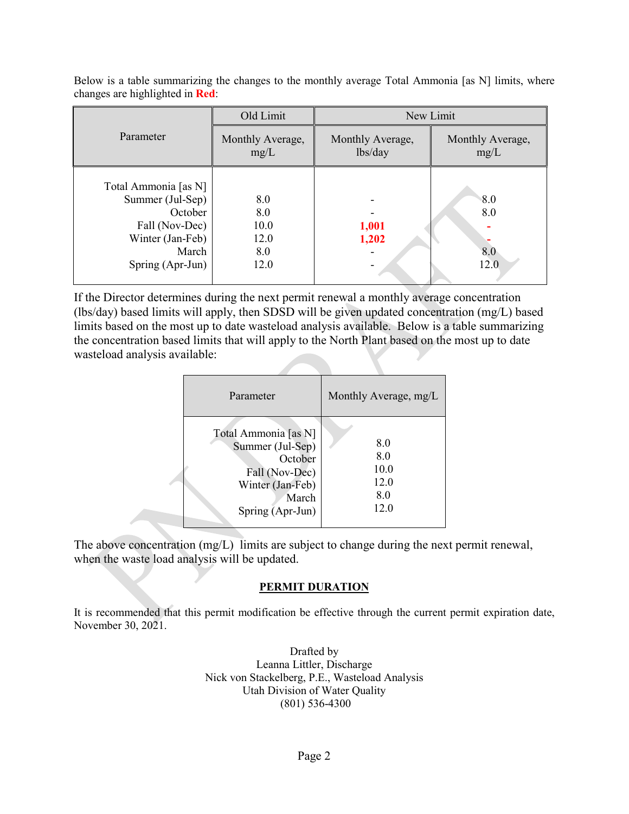Below is a table summarizing the changes to the monthly average Total Ammonia [as N] limits, where changes are highlighted in **Red**:

|                      | Old Limit                | New Limit                   |                          |
|----------------------|--------------------------|-----------------------------|--------------------------|
| Parameter            | Monthly Average,<br>mg/L | Monthly Average,<br>lbs/day | Monthly Average,<br>mg/L |
|                      |                          |                             |                          |
| Total Ammonia [as N] |                          |                             |                          |
| Summer (Jul-Sep)     | 8.0                      |                             | 8.0                      |
| October              | 8.0                      |                             | 8.0                      |
| Fall (Nov-Dec)       | 10.0                     | 1,001                       |                          |
| Winter (Jan-Feb)     | 12.0                     | 1,202                       |                          |
| March                | 8.0                      |                             | 8.0                      |
| Spring (Apr-Jun)     | 12.0                     |                             | 12.0                     |

If the Director determines during the next permit renewal a monthly average concentration (lbs/day) based limits will apply, then SDSD will be given updated concentration (mg/L) based limits based on the most up to date wasteload analysis available. Below is a table summarizing the concentration based limits that will apply to the North Plant based on the most up to date wasteload analysis available:

| Parameter                                                                                                              | Monthly Average, mg/L                     |  |
|------------------------------------------------------------------------------------------------------------------------|-------------------------------------------|--|
| Total Ammonia [as N]<br>Summer (Jul-Sep)<br>October<br>Fall (Nov-Dec)<br>Winter (Jan-Feb)<br>March<br>Spring (Apr-Jun) | 8.0<br>8.0<br>10.0<br>12.0<br>8.0<br>12.0 |  |

The above concentration (mg/L) limits are subject to change during the next permit renewal, when the waste load analysis will be updated.

# **PERMIT DURATION**

It is recommended that this permit modification be effective through the current permit expiration date, November 30, 2021.

> Drafted by Leanna Littler, Discharge Nick von Stackelberg, P.E., Wasteload Analysis Utah Division of Water Quality (801) 536-4300